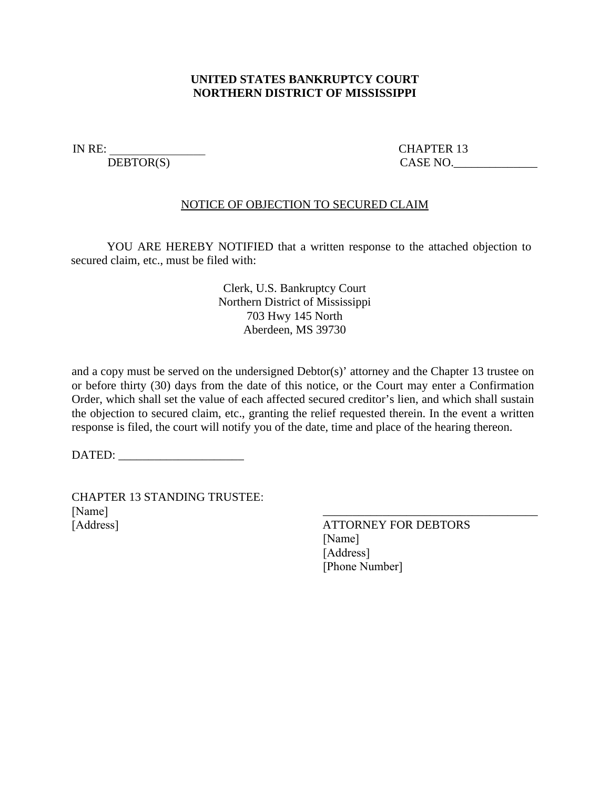## **UNITED STATES BANKRUPTCY COURT NORTHERN DISTRICT OF MISSISSIPPI**

IN RE: CHAPTER 13 DEBTOR(S) CASE NO.

## NOTICE OF OBJECTION TO SECURED CLAIM

YOU ARE HEREBY NOTIFIED that a written response to the attached objection to secured claim, etc., must be filed with:

> Clerk, U.S. Bankruptcy Court Northern District of Mississippi 703 Hwy 145 North Aberdeen, MS 39730

and a copy must be served on the undersigned Debtor(s)' attorney and the Chapter 13 trustee on or before thirty (30) days from the date of this notice, or the Court may enter a Confirmation Order, which shall set the value of each affected secured creditor's lien, and which shall sustain the objection to secured claim, etc., granting the relief requested therein. In the event a written response is filed, the court will notify you of the date, time and place of the hearing thereon.

DATED:

CHAPTER 13 STANDING TRUSTEE: [Name] [Address]

ATTORNEY FOR DEBTORS [Name] [Address] [Phone Number]

\_\_\_\_\_\_\_\_\_\_\_\_\_\_\_\_\_\_\_\_\_\_\_\_\_\_\_\_\_\_\_\_\_\_\_\_